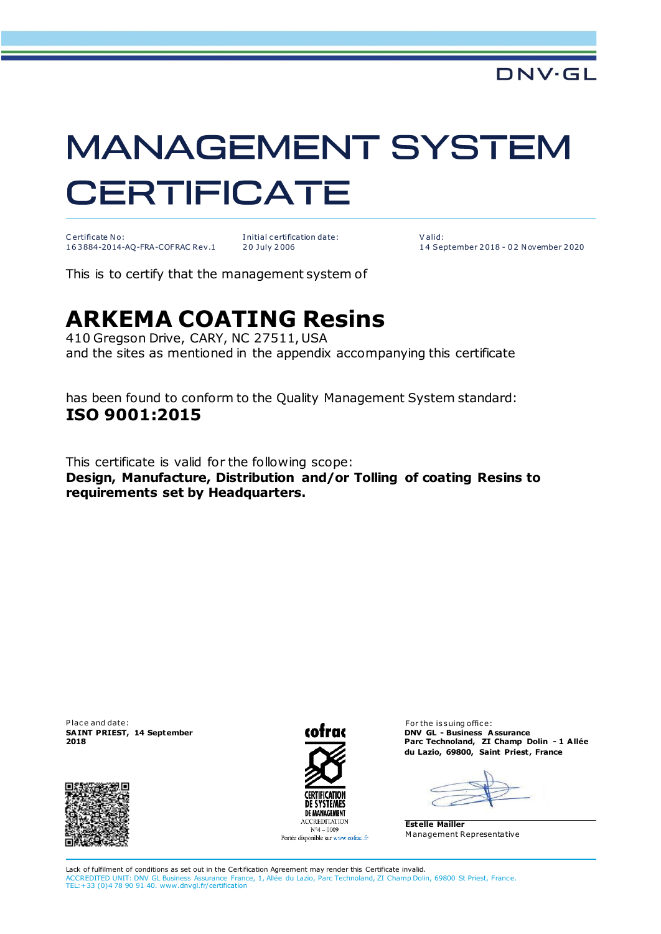## **MANAGEMENT SYSTEM CERTIFICATE**

C ertificate No: 1 6 3 884-2014-AQ-FRA-COFRAC Rev.1

I nitial c ertification date: 2 0 July 2 006

V alid: 1 4 September 2 018 - 0 2 N ovember 2 020

This is to certify that the management system of

## **ARKEMA COATING Resins**

410 Gregson Drive, CARY, NC 27511, USA and the sites as mentioned in the appendix accompanying this certificate

has been found to conform to the Quality Management System standard: **ISO 9001:2015**

This certificate is valid for the following scope: **Design, Manufacture, Distribution and/or Tolling of coating Resins to requirements set by Headquarters.**

Place and date: **SA INT PRIEST, 14 September 2018**





For the issuing office: **DNV GL - Business Assurance Parc Technoland, ZI Champ Dolin - 1 A llée du Lazio, 69800, Saint Priest , France**

**Estelle Mailler** M anagement Representative

Lack of fulfilment of conditions as set out in the Certification Agreement may render this Certificate invalid. ACCREDITED UNIT: DNV GL Business Assurance France, 1, Allée du Lazio, Parc Technoland, ZI Champ Dolin, 69800 St Priest, France. TEL:+33 (0)4 78 90 91 40. www.dnvgl.fr/certification